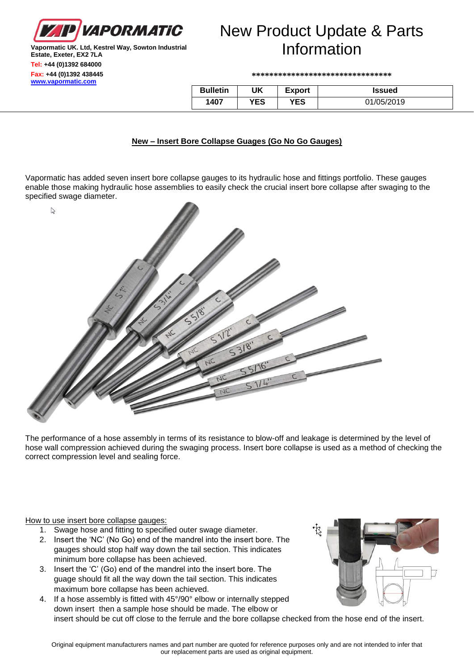

#### **Vapormatic UK. Ltd, Kestrel Way, Sowton Industrial Estate, Exeter, EX2 7LA Tel: +44 (0)1392 684000 Fax: +44 (0)1392 438445 [www.vapormatic.com](http://www.vapormatic.com/)**

# New Product Update & Parts Information

**\*\*\*\*\*\*\*\*\*\*\*\*\*\*\*\*\*\*\*\*\*\*\*\*\*\*\*\*\*\*\*\***

| <b>Bulletin</b> | UK  | Export | Issued     |
|-----------------|-----|--------|------------|
| 1407            | YES | YES    | 01/05/2019 |

### **New – Insert Bore Collapse Guages (Go No Go Gauges)**

Vapormatic has added seven insert bore collapse gauges to its hydraulic hose and fittings portfolio. These gauges enable those making hydraulic hose assemblies to easily check the crucial insert bore collapse after swaging to the specified swage diameter.



The performance of a hose assembly in terms of its resistance to blow-off and leakage is determined by the level of hose wall compression achieved during the swaging process. Insert bore collapse is used as a method of checking the correct compression level and sealing force.

How to use insert bore collapse gauges:

- 1. Swage hose and fitting to specified outer swage diameter.
- 2. Insert the 'NC' (No Go) end of the mandrel into the insert bore. The gauges should stop half way down the tail section. This indicates minimum bore collapse has been achieved.
- 3. Insert the 'C' (Go) end of the mandrel into the insert bore. The guage should fit all the way down the tail section. This indicates maximum bore collapse has been achieved.
- 4. If a hose assembly is fitted with 45°/90° elbow or internally stepped down insert then a sample hose should be made. The elbow or insert should be cut off close to the ferrule and the bore collapse checked from the hose end of the insert.

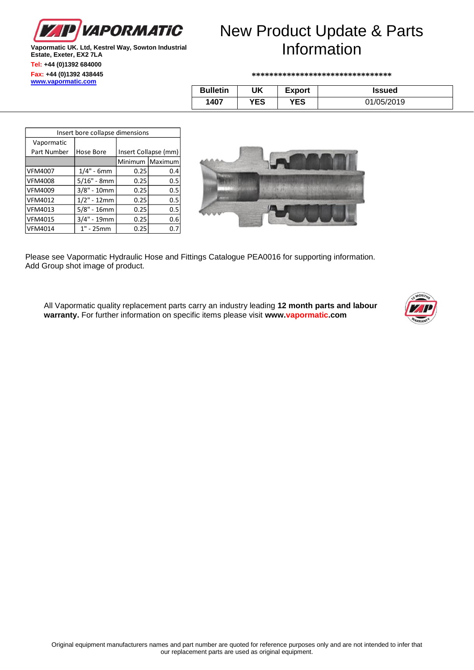

#### **Vapormatic UK. Ltd, Kestrel Way, Sowton Industrial Estate, Exeter, EX2 7LA Tel: +44 (0)1392 684000 Fax: +44 (0)1392 438445 [www.vapormatic.com](http://www.vapormatic.com/)**

# New Product Update & Parts Information

**\*\*\*\*\*\*\*\*\*\*\*\*\*\*\*\*\*\*\*\*\*\*\*\*\*\*\*\*\*\*\*\***

| <b>Bulletin</b> | UK  | <b>Export</b> | <b>Issued</b> |
|-----------------|-----|---------------|---------------|
| 1407            | YES | YES           | 01/05/2019    |

| Insert bore collapse dimensions |               |      |                      |  |  |  |
|---------------------------------|---------------|------|----------------------|--|--|--|
| Vapormatic                      |               |      |                      |  |  |  |
| Part Number                     | Hose Bore     |      | Insert Collapse (mm) |  |  |  |
|                                 |               |      | Minimum Maximum      |  |  |  |
| <b>VFM4007</b>                  | $1/4" - 6mm$  | 0.25 | 0.4                  |  |  |  |
| <b>VFM4008</b>                  | $5/16" - 8mm$ | 0.25 | 0.5                  |  |  |  |
| <b>VFM4009</b>                  | $3/8" - 10mm$ | 0.25 | 0.5                  |  |  |  |
| <b>VFM4012</b>                  | $1/2" - 12mm$ | 0.25 | 0.5                  |  |  |  |
| <b>VFM4013</b>                  | $5/8" - 16mm$ | 0.25 | 0.5                  |  |  |  |
| <b>VFM4015</b>                  | $3/4" - 19mm$ | 0.25 | 0.6                  |  |  |  |
| VFM4014                         | $1" - 25mm$   | 0.25 | 0.7                  |  |  |  |



Please see Vapormatic Hydraulic Hose and Fittings Catalogue PEA0016 for supporting information. Add Group shot image of product.

 $\parallel$ 

All Vapormatic quality replacement parts carry an industry leading **12 month parts and labour warranty.** For further information on specific items please visit **www.vapormatic.com**